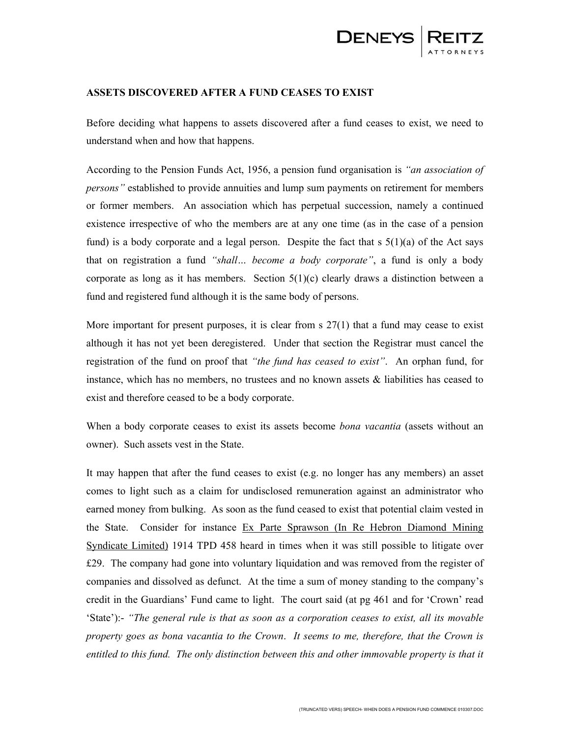

## **ASSETS DISCOVERED AFTER A FUND CEASES TO EXIST**

Before deciding what happens to assets discovered after a fund ceases to exist, we need to understand when and how that happens.

According to the Pension Funds Act, 1956, a pension fund organisation is *"an association of persons"* established to provide annuities and lump sum payments on retirement for members or former members. An association which has perpetual succession, namely a continued existence irrespective of who the members are at any one time (as in the case of a pension fund) is a body corporate and a legal person. Despite the fact that  $s \frac{5(1)}{a}$  of the Act says that on registration a fund *"shall… become a body corporate"*, a fund is only a body corporate as long as it has members. Section 5(1)(c) clearly draws a distinction between a fund and registered fund although it is the same body of persons.

More important for present purposes, it is clear from s 27(1) that a fund may cease to exist although it has not yet been deregistered. Under that section the Registrar must cancel the registration of the fund on proof that *"the fund has ceased to exist"*. An orphan fund, for instance, which has no members, no trustees and no known assets  $\&$  liabilities has ceased to exist and therefore ceased to be a body corporate.

When a body corporate ceases to exist its assets become *bona vacantia* (assets without an owner). Such assets vest in the State.

It may happen that after the fund ceases to exist (e.g. no longer has any members) an asset comes to light such as a claim for undisclosed remuneration against an administrator who earned money from bulking. As soon as the fund ceased to exist that potential claim vested in the State. Consider for instance Ex Parte Sprawson (In Re Hebron Diamond Mining Syndicate Limited) 1914 TPD 458 heard in times when it was still possible to litigate over £29. The company had gone into voluntary liquidation and was removed from the register of companies and dissolved as defunct. At the time a sum of money standing to the company's credit in the Guardians' Fund came to light. The court said (at pg 461 and for 'Crown' read 'State'):- *"The general rule is that as soon as a corporation ceases to exist, all its movable property goes as bona vacantia to the Crown*. *It seems to me, therefore, that the Crown is entitled to this fund. The only distinction between this and other immovable property is that it*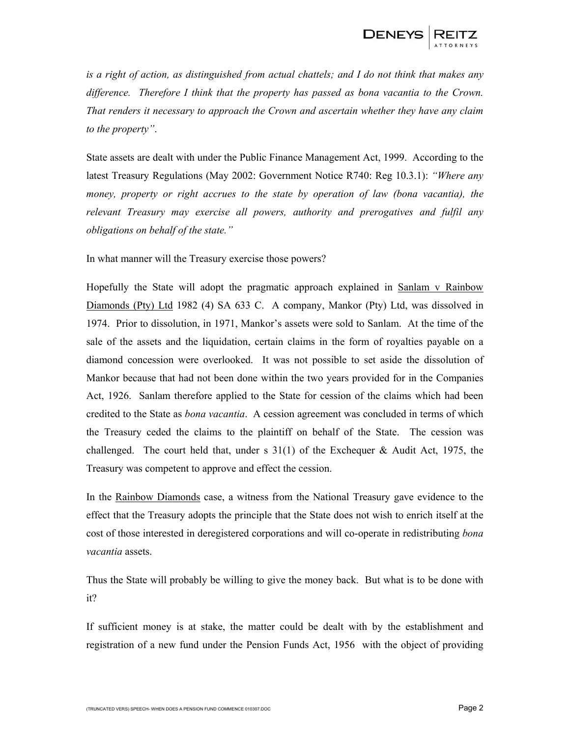

*is a right of action, as distinguished from actual chattels; and I do not think that makes any difference. Therefore I think that the property has passed as bona vacantia to the Crown. That renders it necessary to approach the Crown and ascertain whether they have any claim to the property"*.

State assets are dealt with under the Public Finance Management Act, 1999. According to the latest Treasury Regulations (May 2002: Government Notice R740: Reg 10.3.1): *"Where any money, property or right accrues to the state by operation of law (bona vacantia), the relevant Treasury may exercise all powers, authority and prerogatives and fulfil any obligations on behalf of the state."* 

In what manner will the Treasury exercise those powers?

Hopefully the State will adopt the pragmatic approach explained in Sanlam v Rainbow Diamonds (Pty) Ltd 1982 (4) SA 633 C. A company, Mankor (Pty) Ltd, was dissolved in 1974. Prior to dissolution, in 1971, Mankor's assets were sold to Sanlam. At the time of the sale of the assets and the liquidation, certain claims in the form of royalties payable on a diamond concession were overlooked. It was not possible to set aside the dissolution of Mankor because that had not been done within the two years provided for in the Companies Act, 1926. Sanlam therefore applied to the State for cession of the claims which had been credited to the State as *bona vacantia*. A cession agreement was concluded in terms of which the Treasury ceded the claims to the plaintiff on behalf of the State. The cession was challenged. The court held that, under s  $31(1)$  of the Exchequer & Audit Act, 1975, the Treasury was competent to approve and effect the cession.

In the Rainbow Diamonds case, a witness from the National Treasury gave evidence to the effect that the Treasury adopts the principle that the State does not wish to enrich itself at the cost of those interested in deregistered corporations and will co-operate in redistributing *bona vacantia* assets.

Thus the State will probably be willing to give the money back. But what is to be done with it?

If sufficient money is at stake, the matter could be dealt with by the establishment and registration of a new fund under the Pension Funds Act, 1956 with the object of providing